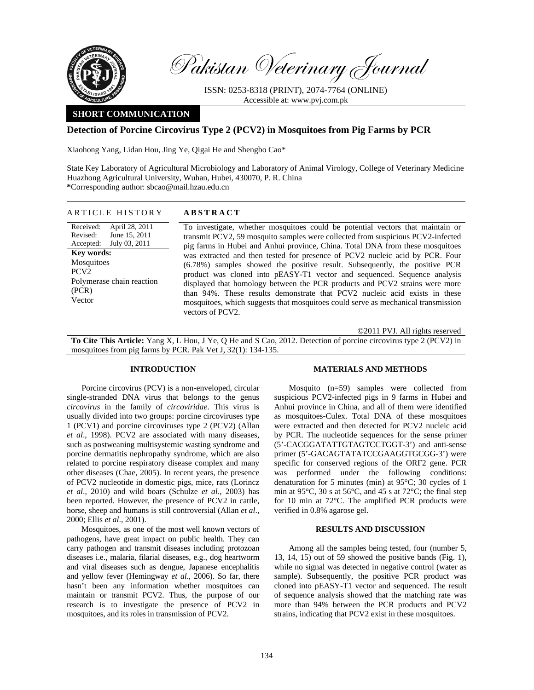

Pakistan Veterinary Journal

ISSN: 0253-8318 (PRINT), 2074-7764 (ONLINE) Accessible at: www.pvj.com.pk

# **SHORT COMMUNICATION**

## **Detection of Porcine Circovirus Type 2 (PCV2) in Mosquitoes from Pig Farms by PCR**

Xiaohong Yang, Lidan Hou, Jing Ye, Qigai He and Shengbo Cao\*

State Key Laboratory of Agricultural Microbiology and Laboratory of Animal Virology, College of Veterinary Medicine Huazhong Agricultural University, Wuhan, Hubei, 430070, P. R. China **\***Corresponding author: sbcao@mail.hzau.edu.cn

### ARTICLE HISTORY **ABSTRACT**

Received: Revised: Accepted: April 28, 2011 June 15, 2011 July 03, 2011 **Key words:**  Mosquitoes PCV2 Polymerase chain reaction (PCR) Vector

To investigate, whether mosquitoes could be potential vectors that maintain or transmit PCV2, 59 mosquito samples were collected from suspicious PCV2-infected pig farms in Hubei and Anhui province, China. Total DNA from these mosquitoes was extracted and then tested for presence of PCV2 nucleic acid by PCR. Four (6.78%) samples showed the positive result. Subsequently, the positive PCR product was cloned into pEASY-T1 vector and sequenced. Sequence analysis displayed that homology between the PCR products and PCV2 strains were more than 94%. These results demonstrate that PCV2 nucleic acid exists in these mosquitoes, which suggests that mosquitoes could serve as mechanical transmission vectors of PCV2.

©2011 PVJ. All rights reserved

**To Cite This Article:** Yang X, L Hou, J Ye, Q He and S Cao, 2012. Detection of porcine circovirus type 2 (PCV2) in mosquitoes from pig farms by PCR. Pak Vet J, 32(1): 134-135.

## **INTRODUCTION**

Porcine circovirus (PCV) is a non-enveloped, circular single-stranded DNA virus that belongs to the genus *circovirus* in the family of *circoviridae*. This virus is usually divided into two groups: porcine circoviruses type 1 (PCV1) and porcine circoviruses type 2 (PCV2) (Allan *et al*., 1998). PCV2 are associated with many diseases, such as postweaning multisystemic wasting syndrome and porcine dermatitis nephropathy syndrome, which are also related to porcine respiratory disease complex and many other diseases (Chae, 2005). In recent years, the presence of PCV2 nucleotide in domestic pigs, mice, rats (Lorincz *et al*., 2010) and wild boars (Schulze *et al*., 2003) has been reported. However, the presence of PCV2 in cattle, horse, sheep and humans is still controversial (Allan *et al*., 2000; Ellis *et al*., 2001).

Mosquitoes, as one of the most well known vectors of pathogens, have great impact on public health. They can carry pathogen and transmit diseases including protozoan diseases i.e., malaria, filarial diseases, e.g., dog heartworm and viral diseases such as dengue, Japanese encephalitis and yellow fever (Hemingway *et al*., 2006). So far, there hasn't been any information whether mosquitoes can maintain or transmit PCV2. Thus, the purpose of our research is to investigate the presence of PCV2 in mosquitoes, and its roles in transmission of PCV2.

## **MATERIALS AND METHODS**

Mosquito (n=59) samples were collected from suspicious PCV2-infected pigs in 9 farms in Hubei and Anhui province in China, and all of them were identified as mosquitoes-Culex. Total DNA of these mosquitoes were extracted and then detected for PCV2 nucleic acid by PCR. The nucleotide sequences for the sense primer (5'-CACGGATATTGTAGTCCTGGT-3') and anti-sense primer (5'-GACAGTATATCCGAAGGTGCGG-3') were specific for conserved regions of the ORF2 gene. PCR was performed under the following conditions: denaturation for 5 minutes (min) at 95°C; 30 cycles of 1 min at 95°C, 30 s at 56°C, and 45 s at 72°C; the final step for 10 min at 72°C. The amplified PCR products were verified in 0.8% agarose gel.

### **RESULTS AND DISCUSSION**

Among all the samples being tested, four (number 5, 13, 14, 15) out of 59 showed the positive bands (Fig. 1), while no signal was detected in negative control (water as sample). Subsequently, the positive PCR product was cloned into pEASY-T1 vector and sequenced. The result of sequence analysis showed that the matching rate was more than 94% between the PCR products and PCV2 strains, indicating that PCV2 exist in these mosquitoes.